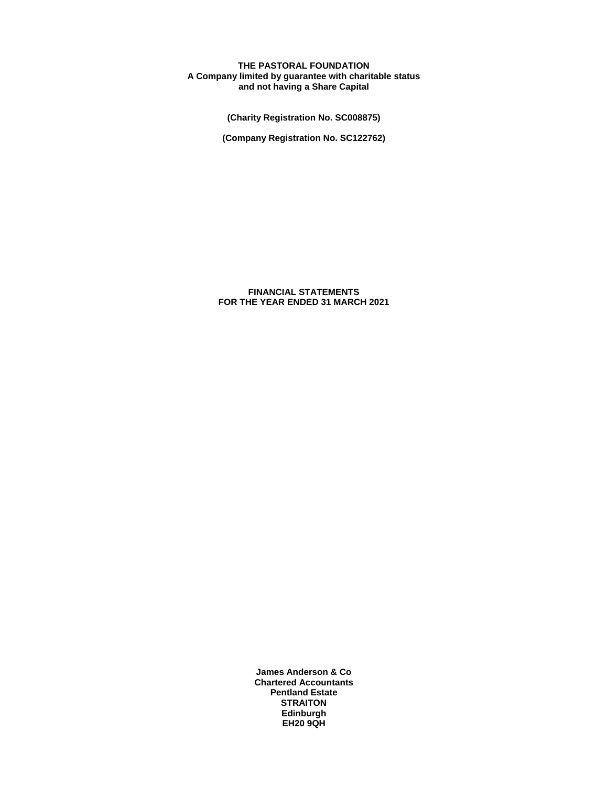# **THE PASTORAL FOUNDATION A Company limited by guarantee with charitable status and not having a Share Capital**

**(Charity Registration No. SC008875)**

**(Company Registration No. SC122762)**

**FINANCIAL STATEMENTS FOR THE YEAR ENDED 31 MARCH 2021**

> **James Anderson & Co Chartered Accountants Pentland Estate STRAITON Edinburgh EH20 9QH**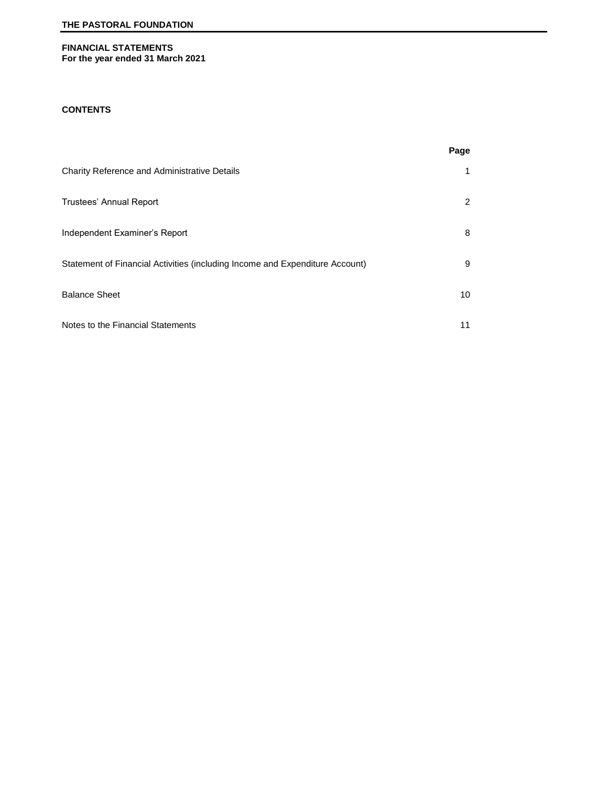# **FINANCIAL STATEMENTS For the year ended 31 March 2021**

# **CONTENTS**

|                                                                              | Page                 |
|------------------------------------------------------------------------------|----------------------|
| Charity Reference and Administrative Details                                 | 1                    |
| Trustees' Annual Report                                                      | $\mathbf{2}^{\circ}$ |
| Independent Examiner's Report                                                | 8                    |
| Statement of Financial Activities (including Income and Expenditure Account) | 9                    |
| <b>Balance Sheet</b>                                                         | 10                   |
| Notes to the Financial Statements                                            | 11                   |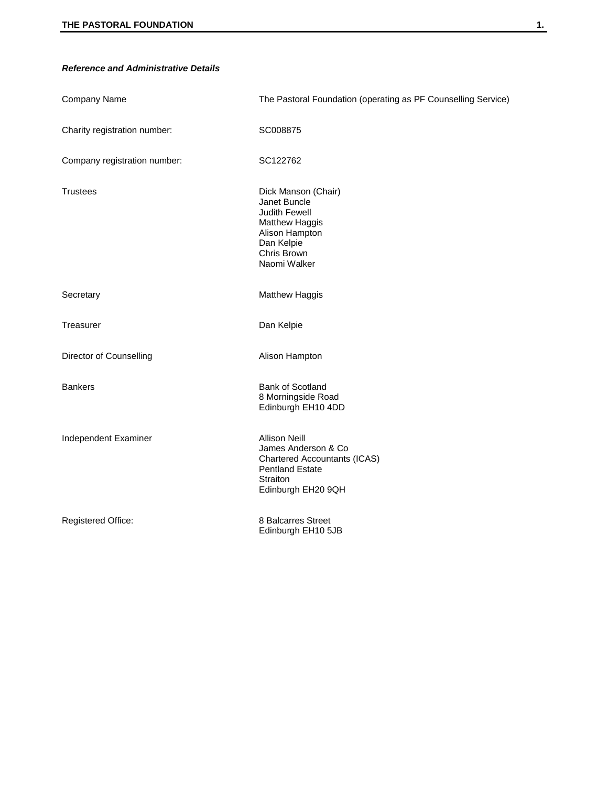# *Reference and Administrative Details*

| Company Name                 | The Pastoral Foundation (operating as PF Counselling Service)                                                                                  |
|------------------------------|------------------------------------------------------------------------------------------------------------------------------------------------|
| Charity registration number: | SC008875                                                                                                                                       |
| Company registration number: | SC122762                                                                                                                                       |
| <b>Trustees</b>              | Dick Manson (Chair)<br>Janet Buncle<br>Judith Fewell<br><b>Matthew Haggis</b><br>Alison Hampton<br>Dan Kelpie<br>Chris Brown<br>Naomi Walker   |
| Secretary                    | Matthew Haggis                                                                                                                                 |
| Treasurer                    | Dan Kelpie                                                                                                                                     |
| Director of Counselling      | Alison Hampton                                                                                                                                 |
| <b>Bankers</b>               | Bank of Scotland<br>8 Morningside Road<br>Edinburgh EH10 4DD                                                                                   |
| Independent Examiner         | <b>Allison Neill</b><br>James Anderson & Co<br><b>Chartered Accountants (ICAS)</b><br><b>Pentland Estate</b><br>Straiton<br>Edinburgh EH20 9QH |
| Registered Office:           | 8 Balcarres Street<br>Edinburgh EH10 5JB                                                                                                       |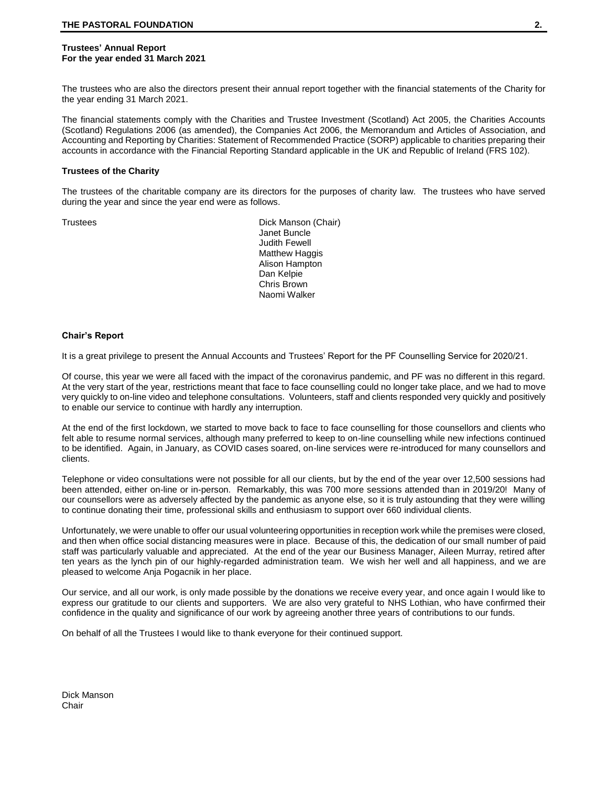## **Trustees' Annual Report For the year ended 31 March 2021**

The trustees who are also the directors present their annual report together with the financial statements of the Charity for the year ending 31 March 2021.

The financial statements comply with the Charities and Trustee Investment (Scotland) Act 2005, the Charities Accounts (Scotland) Regulations 2006 (as amended), the Companies Act 2006, the Memorandum and Articles of Association, and Accounting and Reporting by Charities: Statement of Recommended Practice (SORP) applicable to charities preparing their accounts in accordance with the Financial Reporting Standard applicable in the UK and Republic of Ireland (FRS 102).

#### **Trustees of the Charity**

The trustees of the charitable company are its directors for the purposes of charity law. The trustees who have served during the year and since the year end were as follows.

Trustees **Dick Manson (Chair)** Janet Buncle Judith Fewell Matthew Haggis Alison Hampton Dan Kelpie Chris Brown Naomi Walker

## **Chair's Report**

It is a great privilege to present the Annual Accounts and Trustees' Report for the PF Counselling Service for 2020/21.

Of course, this year we were all faced with the impact of the coronavirus pandemic, and PF was no different in this regard. At the very start of the year, restrictions meant that face to face counselling could no longer take place, and we had to move very quickly to on-line video and telephone consultations. Volunteers, staff and clients responded very quickly and positively to enable our service to continue with hardly any interruption.

At the end of the first lockdown, we started to move back to face to face counselling for those counsellors and clients who felt able to resume normal services, although many preferred to keep to on-line counselling while new infections continued to be identified. Again, in January, as COVID cases soared, on-line services were re-introduced for many counsellors and clients.

Telephone or video consultations were not possible for all our clients, but by the end of the year over 12,500 sessions had been attended, either on-line or in-person. Remarkably, this was 700 more sessions attended than in 2019/20! Many of our counsellors were as adversely affected by the pandemic as anyone else, so it is truly astounding that they were willing to continue donating their time, professional skills and enthusiasm to support over 660 individual clients.

Unfortunately, we were unable to offer our usual volunteering opportunities in reception work while the premises were closed, and then when office social distancing measures were in place. Because of this, the dedication of our small number of paid staff was particularly valuable and appreciated. At the end of the year our Business Manager, Aileen Murray, retired after ten years as the lynch pin of our highly-regarded administration team. We wish her well and all happiness, and we are pleased to welcome Anja Pogacnik in her place.

Our service, and all our work, is only made possible by the donations we receive every year, and once again I would like to express our gratitude to our clients and supporters. We are also very grateful to NHS Lothian, who have confirmed their confidence in the quality and significance of our work by agreeing another three years of contributions to our funds.

On behalf of all the Trustees I would like to thank everyone for their continued support.

Dick Manson **Chair**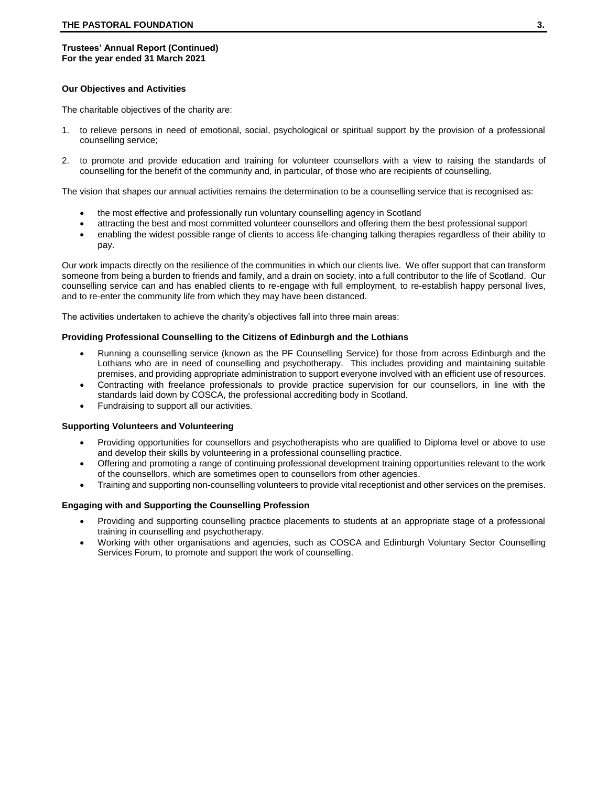## **Our Objectives and Activities**

The charitable objectives of the charity are:

- 1. to relieve persons in need of emotional, social, psychological or spiritual support by the provision of a professional counselling service;
- 2. to promote and provide education and training for volunteer counsellors with a view to raising the standards of counselling for the benefit of the community and, in particular, of those who are recipients of counselling.

The vision that shapes our annual activities remains the determination to be a counselling service that is recognised as:

- the most effective and professionally run voluntary counselling agency in Scotland
- attracting the best and most committed volunteer counsellors and offering them the best professional support
- enabling the widest possible range of clients to access life-changing talking therapies regardless of their ability to pay.

Our work impacts directly on the resilience of the communities in which our clients live. We offer support that can transform someone from being a burden to friends and family, and a drain on society, into a full contributor to the life of Scotland. Our counselling service can and has enabled clients to re-engage with full employment, to re-establish happy personal lives, and to re-enter the community life from which they may have been distanced.

The activities undertaken to achieve the charity's objectives fall into three main areas:

## **Providing Professional Counselling to the Citizens of Edinburgh and the Lothians**

- Running a counselling service (known as the PF Counselling Service) for those from across Edinburgh and the Lothians who are in need of counselling and psychotherapy. This includes providing and maintaining suitable premises, and providing appropriate administration to support everyone involved with an efficient use of resources.
- Contracting with freelance professionals to provide practice supervision for our counsellors, in line with the standards laid down by COSCA, the professional accrediting body in Scotland.
- Fundraising to support all our activities.

## **Supporting Volunteers and Volunteering**

- Providing opportunities for counsellors and psychotherapists who are qualified to Diploma level or above to use and develop their skills by volunteering in a professional counselling practice.
- Offering and promoting a range of continuing professional development training opportunities relevant to the work of the counsellors, which are sometimes open to counsellors from other agencies.
- Training and supporting non-counselling volunteers to provide vital receptionist and other services on the premises.

# **Engaging with and Supporting the Counselling Profession**

- Providing and supporting counselling practice placements to students at an appropriate stage of a professional training in counselling and psychotherapy.
- Working with other organisations and agencies, such as COSCA and Edinburgh Voluntary Sector Counselling Services Forum, to promote and support the work of counselling.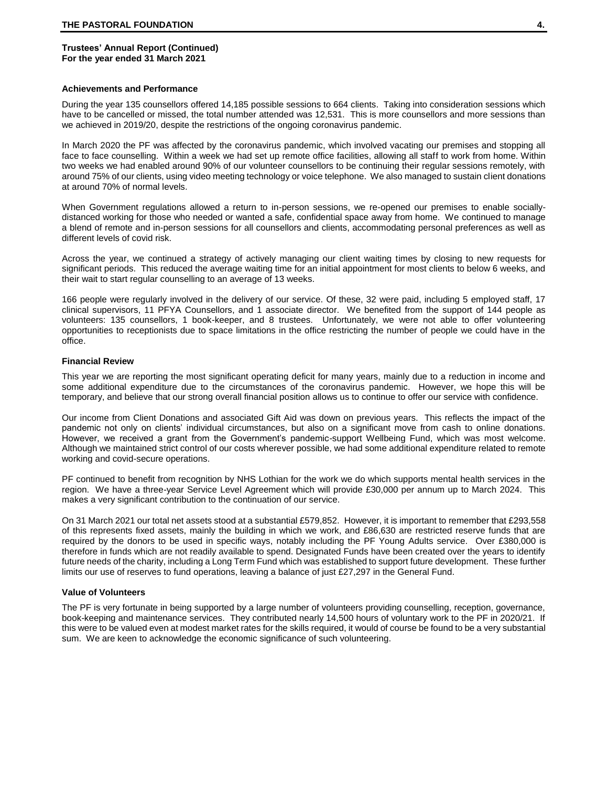#### **Achievements and Performance**

During the year 135 counsellors offered 14,185 possible sessions to 664 clients. Taking into consideration sessions which have to be cancelled or missed, the total number attended was 12,531. This is more counsellors and more sessions than we achieved in 2019/20, despite the restrictions of the ongoing coronavirus pandemic.

In March 2020 the PF was affected by the coronavirus pandemic, which involved vacating our premises and stopping all face to face counselling. Within a week we had set up remote office facilities, allowing all staff to work from home. Within two weeks we had enabled around 90% of our volunteer counsellors to be continuing their regular sessions remotely, with around 75% of our clients, using video meeting technology or voice telephone. We also managed to sustain client donations at around 70% of normal levels.

When Government regulations allowed a return to in-person sessions, we re-opened our premises to enable sociallydistanced working for those who needed or wanted a safe, confidential space away from home. We continued to manage a blend of remote and in-person sessions for all counsellors and clients, accommodating personal preferences as well as different levels of covid risk.

Across the year, we continued a strategy of actively managing our client waiting times by closing to new requests for significant periods. This reduced the average waiting time for an initial appointment for most clients to below 6 weeks, and their wait to start regular counselling to an average of 13 weeks.

166 people were regularly involved in the delivery of our service. Of these, 32 were paid, including 5 employed staff, 17 clinical supervisors, 11 PFYA Counsellors, and 1 associate director. We benefited from the support of 144 people as volunteers: 135 counsellors, 1 book-keeper, and 8 trustees. Unfortunately, we were not able to offer volunteering opportunities to receptionists due to space limitations in the office restricting the number of people we could have in the office.

#### **Financial Review**

This year we are reporting the most significant operating deficit for many years, mainly due to a reduction in income and some additional expenditure due to the circumstances of the coronavirus pandemic. However, we hope this will be temporary, and believe that our strong overall financial position allows us to continue to offer our service with confidence.

Our income from Client Donations and associated Gift Aid was down on previous years. This reflects the impact of the pandemic not only on clients' individual circumstances, but also on a significant move from cash to online donations. However, we received a grant from the Government's pandemic-support Wellbeing Fund, which was most welcome. Although we maintained strict control of our costs wherever possible, we had some additional expenditure related to remote working and covid-secure operations.

PF continued to benefit from recognition by NHS Lothian for the work we do which supports mental health services in the region. We have a three-year Service Level Agreement which will provide £30,000 per annum up to March 2024. This makes a very significant contribution to the continuation of our service.

On 31 March 2021 our total net assets stood at a substantial £579,852. However, it is important to remember that £293,558 of this represents fixed assets, mainly the building in which we work, and £86,630 are restricted reserve funds that are required by the donors to be used in specific ways, notably including the PF Young Adults service. Over £380,000 is therefore in funds which are not readily available to spend. Designated Funds have been created over the years to identify future needs of the charity, including a Long Term Fund which was established to support future development. These further limits our use of reserves to fund operations, leaving a balance of just £27,297 in the General Fund.

#### **Value of Volunteers**

The PF is very fortunate in being supported by a large number of volunteers providing counselling, reception, governance, book-keeping and maintenance services. They contributed nearly 14,500 hours of voluntary work to the PF in 2020/21. If this were to be valued even at modest market rates for the skills required, it would of course be found to be a very substantial sum. We are keen to acknowledge the economic significance of such volunteering.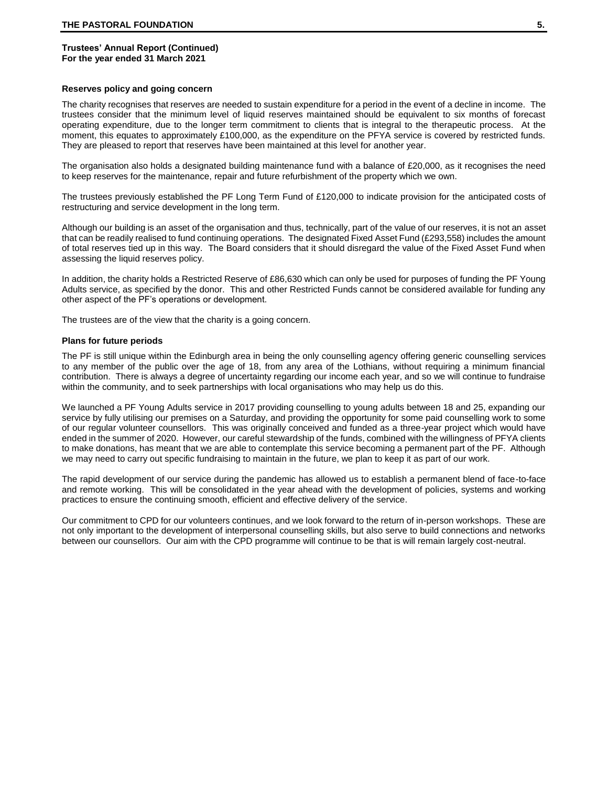#### **Reserves policy and going concern**

The charity recognises that reserves are needed to sustain expenditure for a period in the event of a decline in income. The trustees consider that the minimum level of liquid reserves maintained should be equivalent to six months of forecast operating expenditure, due to the longer term commitment to clients that is integral to the therapeutic process. At the moment, this equates to approximately £100,000, as the expenditure on the PFYA service is covered by restricted funds. They are pleased to report that reserves have been maintained at this level for another year.

The organisation also holds a designated building maintenance fund with a balance of £20,000, as it recognises the need to keep reserves for the maintenance, repair and future refurbishment of the property which we own.

The trustees previously established the PF Long Term Fund of £120,000 to indicate provision for the anticipated costs of restructuring and service development in the long term.

Although our building is an asset of the organisation and thus, technically, part of the value of our reserves, it is not an asset that can be readily realised to fund continuing operations. The designated Fixed Asset Fund (£293,558) includes the amount of total reserves tied up in this way. The Board considers that it should disregard the value of the Fixed Asset Fund when assessing the liquid reserves policy.

In addition, the charity holds a Restricted Reserve of £86,630 which can only be used for purposes of funding the PF Young Adults service, as specified by the donor. This and other Restricted Funds cannot be considered available for funding any other aspect of the PF's operations or development.

The trustees are of the view that the charity is a going concern.

#### **Plans for future periods**

The PF is still unique within the Edinburgh area in being the only counselling agency offering generic counselling services to any member of the public over the age of 18, from any area of the Lothians, without requiring a minimum financial contribution. There is always a degree of uncertainty regarding our income each year, and so we will continue to fundraise within the community, and to seek partnerships with local organisations who may help us do this.

We launched a PF Young Adults service in 2017 providing counselling to young adults between 18 and 25, expanding our service by fully utilising our premises on a Saturday, and providing the opportunity for some paid counselling work to some of our regular volunteer counsellors. This was originally conceived and funded as a three-year project which would have ended in the summer of 2020. However, our careful stewardship of the funds, combined with the willingness of PFYA clients to make donations, has meant that we are able to contemplate this service becoming a permanent part of the PF. Although we may need to carry out specific fundraising to maintain in the future, we plan to keep it as part of our work.

The rapid development of our service during the pandemic has allowed us to establish a permanent blend of face-to-face and remote working. This will be consolidated in the year ahead with the development of policies, systems and working practices to ensure the continuing smooth, efficient and effective delivery of the service.

Our commitment to CPD for our volunteers continues, and we look forward to the return of in-person workshops. These are not only important to the development of interpersonal counselling skills, but also serve to build connections and networks between our counsellors. Our aim with the CPD programme will continue to be that is will remain largely cost-neutral.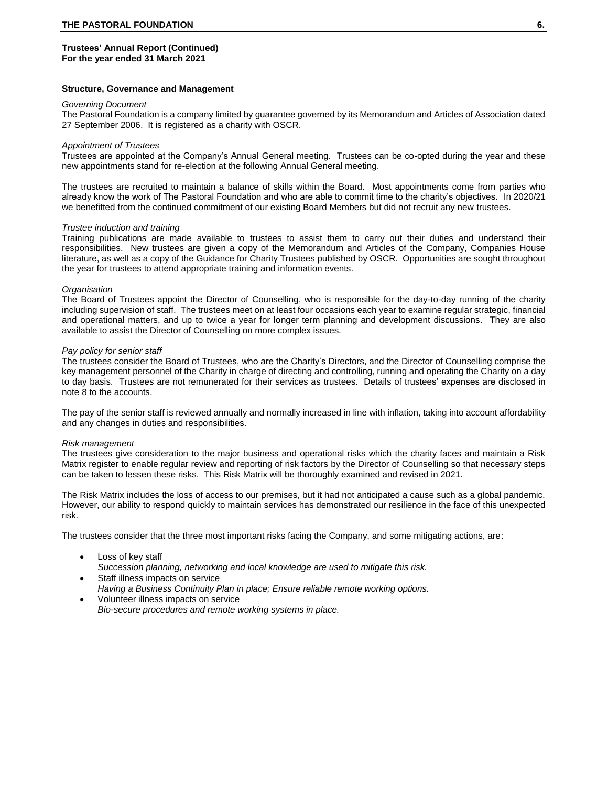#### **Structure, Governance and Management**

#### *Governing Document*

The Pastoral Foundation is a company limited by guarantee governed by its Memorandum and Articles of Association dated 27 September 2006. It is registered as a charity with OSCR.

#### *Appointment of Trustees*

Trustees are appointed at the Company's Annual General meeting. Trustees can be co-opted during the year and these new appointments stand for re-election at the following Annual General meeting.

The trustees are recruited to maintain a balance of skills within the Board. Most appointments come from parties who already know the work of The Pastoral Foundation and who are able to commit time to the charity's objectives. In 2020/21 we benefitted from the continued commitment of our existing Board Members but did not recruit any new trustees.

#### *Trustee induction and training*

Training publications are made available to trustees to assist them to carry out their duties and understand their responsibilities. New trustees are given a copy of the Memorandum and Articles of the Company, Companies House literature, as well as a copy of the Guidance for Charity Trustees published by OSCR. Opportunities are sought throughout the year for trustees to attend appropriate training and information events.

#### *Organisation*

The Board of Trustees appoint the Director of Counselling, who is responsible for the day-to-day running of the charity including supervision of staff. The trustees meet on at least four occasions each year to examine regular strategic, financial and operational matters, and up to twice a year for longer term planning and development discussions. They are also available to assist the Director of Counselling on more complex issues.

#### *Pay policy for senior staff*

The trustees consider the Board of Trustees, who are the Charity's Directors, and the Director of Counselling comprise the key management personnel of the Charity in charge of directing and controlling, running and operating the Charity on a day to day basis. Trustees are not remunerated for their services as trustees. Details of trustees' expenses are disclosed in note 8 to the accounts.

The pay of the senior staff is reviewed annually and normally increased in line with inflation, taking into account affordability and any changes in duties and responsibilities.

#### *Risk management*

The trustees give consideration to the major business and operational risks which the charity faces and maintain a Risk Matrix register to enable regular review and reporting of risk factors by the Director of Counselling so that necessary steps can be taken to lessen these risks. This Risk Matrix will be thoroughly examined and revised in 2021.

The Risk Matrix includes the loss of access to our premises, but it had not anticipated a cause such as a global pandemic. However, our ability to respond quickly to maintain services has demonstrated our resilience in the face of this unexpected risk.

The trustees consider that the three most important risks facing the Company, and some mitigating actions, are:

- Loss of key staff *Succession planning, networking and local knowledge are used to mitigate this risk.*
- Staff illness impacts on service *Having a Business Continuity Plan in place; Ensure reliable remote working options.* • Volunteer illness impacts on service
- *Bio-secure procedures and remote working systems in place.*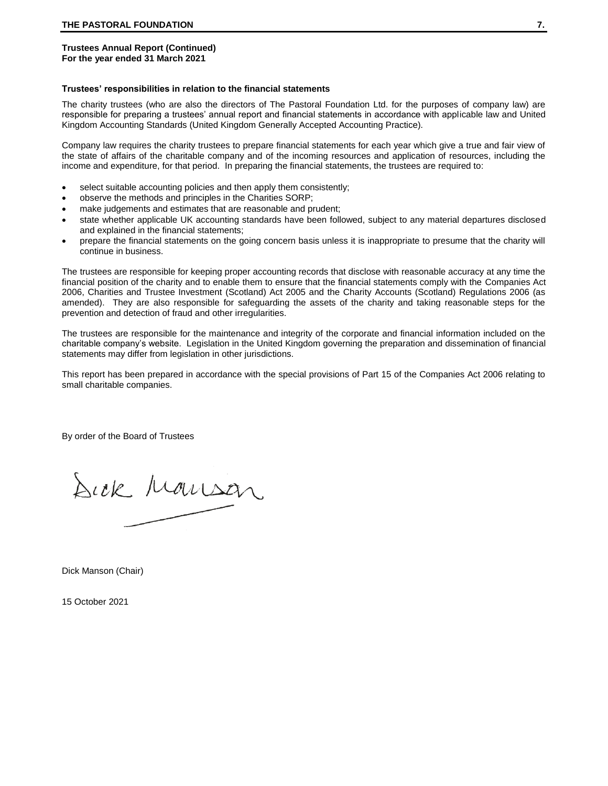#### **Trustees' responsibilities in relation to the financial statements**

The charity trustees (who are also the directors of The Pastoral Foundation Ltd. for the purposes of company law) are responsible for preparing a trustees' annual report and financial statements in accordance with applicable law and United Kingdom Accounting Standards (United Kingdom Generally Accepted Accounting Practice).

Company law requires the charity trustees to prepare financial statements for each year which give a true and fair view of the state of affairs of the charitable company and of the incoming resources and application of resources, including the income and expenditure, for that period. In preparing the financial statements, the trustees are required to:

- select suitable accounting policies and then apply them consistently;
- observe the methods and principles in the Charities SORP;
- make judgements and estimates that are reasonable and prudent;
- state whether applicable UK accounting standards have been followed, subject to any material departures disclosed and explained in the financial statements;
- prepare the financial statements on the going concern basis unless it is inappropriate to presume that the charity will continue in business.

The trustees are responsible for keeping proper accounting records that disclose with reasonable accuracy at any time the financial position of the charity and to enable them to ensure that the financial statements comply with the Companies Act 2006, Charities and Trustee Investment (Scotland) Act 2005 and the Charity Accounts (Scotland) Regulations 2006 (as amended). They are also responsible for safeguarding the assets of the charity and taking reasonable steps for the prevention and detection of fraud and other irregularities.

The trustees are responsible for the maintenance and integrity of the corporate and financial information included on the charitable company's website. Legislation in the United Kingdom governing the preparation and dissemination of financial statements may differ from legislation in other jurisdictions.

This report has been prepared in accordance with the special provisions of Part 15 of the Companies Act 2006 relating to small charitable companies.

By order of the Board of Trustees

Sick Monson

Dick Manson (Chair)

15 October 2021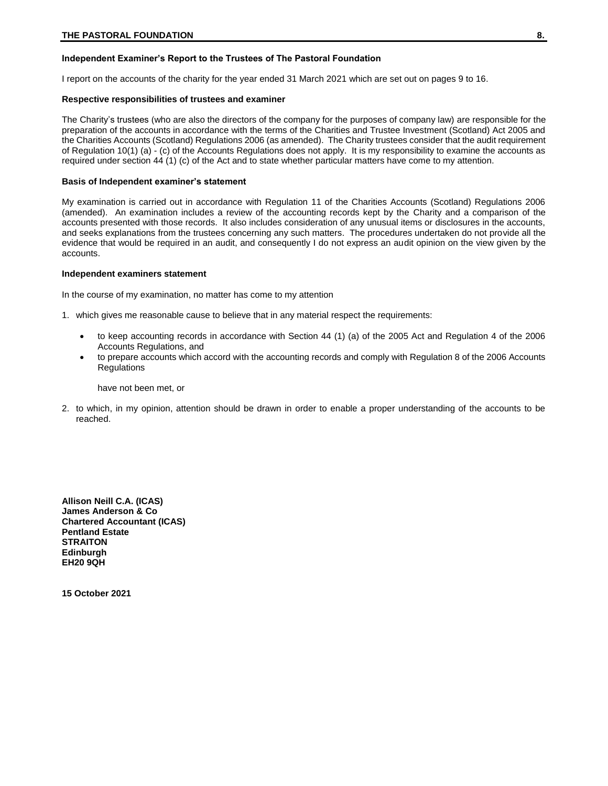# **Independent Examiner's Report to the Trustees of The Pastoral Foundation**

I report on the accounts of the charity for the year ended 31 March 2021 which are set out on pages 9 to 16.

#### **Respective responsibilities of trustees and examiner**

The Charity's trustees (who are also the directors of the company for the purposes of company law) are responsible for the preparation of the accounts in accordance with the terms of the Charities and Trustee Investment (Scotland) Act 2005 and the Charities Accounts (Scotland) Regulations 2006 (as amended). The Charity trustees consider that the audit requirement of Regulation 10(1) (a) - (c) of the Accounts Regulations does not apply. It is my responsibility to examine the accounts as required under section 44 (1) (c) of the Act and to state whether particular matters have come to my attention.

#### **Basis of Independent examiner's statement**

My examination is carried out in accordance with Regulation 11 of the Charities Accounts (Scotland) Regulations 2006 (amended). An examination includes a review of the accounting records kept by the Charity and a comparison of the accounts presented with those records. It also includes consideration of any unusual items or disclosures in the accounts, and seeks explanations from the trustees concerning any such matters. The procedures undertaken do not provide all the evidence that would be required in an audit, and consequently I do not express an audit opinion on the view given by the accounts.

#### **Independent examiners statement**

In the course of my examination, no matter has come to my attention

1. which gives me reasonable cause to believe that in any material respect the requirements:

- to keep accounting records in accordance with Section 44 (1) (a) of the 2005 Act and Regulation 4 of the 2006 Accounts Regulations, and
- to prepare accounts which accord with the accounting records and comply with Regulation 8 of the 2006 Accounts **Regulations**

have not been met, or

2. to which, in my opinion, attention should be drawn in order to enable a proper understanding of the accounts to be reached.

**Allison Neill C.A. (ICAS) James Anderson & Co Chartered Accountant (ICAS) Pentland Estate STRAITON Edinburgh EH20 9QH**

**15 October 2021**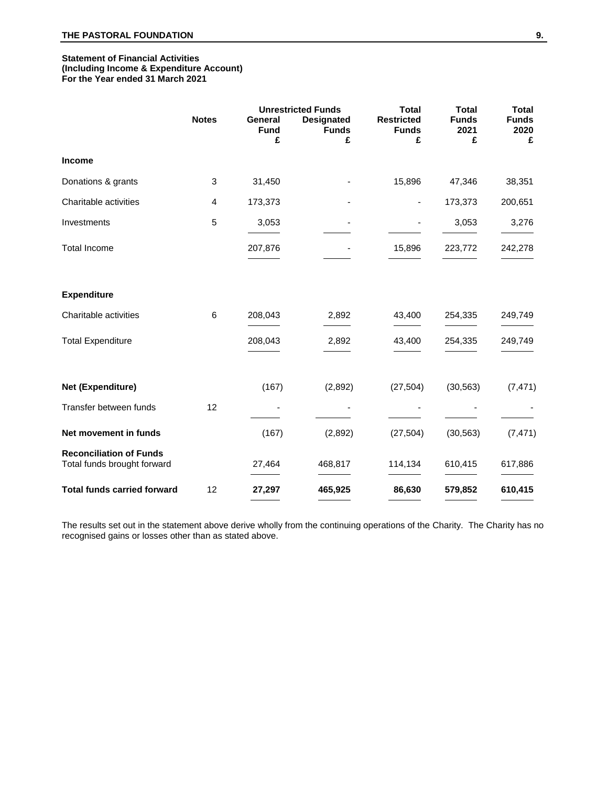#### **Statement of Financial Activities (Including Income & Expenditure Account) For the Year ended 31 March 2021**

|                                                               |              | <b>Unrestricted Funds</b> |                                   | <b>Total</b>                      | <b>Total</b><br><b>Total</b> |                      |
|---------------------------------------------------------------|--------------|---------------------------|-----------------------------------|-----------------------------------|------------------------------|----------------------|
|                                                               | <b>Notes</b> | General<br><b>Fund</b>    | <b>Designated</b><br><b>Funds</b> | <b>Restricted</b><br><b>Funds</b> | <b>Funds</b><br>2021         | <b>Funds</b><br>2020 |
|                                                               |              | £                         | £                                 | £                                 | £                            | £                    |
| <b>Income</b>                                                 |              |                           |                                   |                                   |                              |                      |
| Donations & grants                                            | 3            | 31,450                    |                                   | 15,896                            | 47,346                       | 38,351               |
| Charitable activities                                         | 4            | 173,373                   |                                   |                                   | 173,373                      | 200,651              |
| Investments                                                   | 5            | 3,053                     | $\overline{\phantom{a}}$          |                                   | 3,053                        | 3,276                |
| <b>Total Income</b>                                           |              | 207,876                   |                                   | 15,896                            | 223,772                      | 242,278              |
| <b>Expenditure</b>                                            |              |                           |                                   |                                   |                              |                      |
| Charitable activities                                         | 6            | 208,043                   | 2,892                             | 43,400                            | 254,335                      | 249,749              |
| <b>Total Expenditure</b>                                      |              | 208,043                   | 2,892                             | 43,400                            | 254,335                      | 249,749              |
| Net (Expenditure)                                             |              | (167)                     | (2,892)                           | (27, 504)                         | (30, 563)                    | (7, 471)             |
| Transfer between funds                                        | 12           |                           |                                   |                                   |                              |                      |
| Net movement in funds                                         |              | (167)                     | (2,892)                           | (27, 504)                         | (30, 563)                    | (7, 471)             |
| <b>Reconciliation of Funds</b><br>Total funds brought forward |              | 27,464                    | 468,817                           | 114,134                           | 610,415                      | 617,886              |
| <b>Total funds carried forward</b>                            | 12           | 27,297                    | 465,925                           | 86,630                            | 579,852                      | 610,415              |

The results set out in the statement above derive wholly from the continuing operations of the Charity. The Charity has no recognised gains or losses other than as stated above.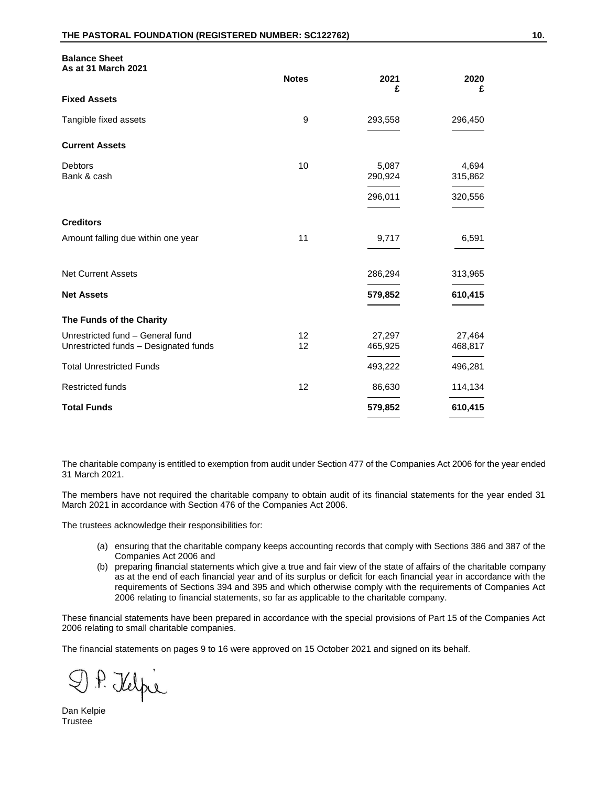**Balance Sheet**

| ٦<br>×. | ۰.      |
|---------|---------|
|         | I<br>۰. |

| As at 31 March 2021                                                       | <b>Notes</b> | 2021<br>£         | 2020<br>£         |
|---------------------------------------------------------------------------|--------------|-------------------|-------------------|
| <b>Fixed Assets</b>                                                       |              |                   |                   |
| Tangible fixed assets                                                     | 9            | 293,558           | 296,450           |
| <b>Current Assets</b>                                                     |              |                   |                   |
| <b>Debtors</b><br>Bank & cash                                             | 10           | 5,087<br>290,924  | 4,694<br>315,862  |
|                                                                           |              | 296,011           | 320,556           |
| <b>Creditors</b>                                                          |              |                   |                   |
| Amount falling due within one year                                        | 11           | 9,717             | 6,591             |
| <b>Net Current Assets</b>                                                 |              | 286,294           | 313,965           |
| <b>Net Assets</b>                                                         |              | 579,852           | 610,415           |
| The Funds of the Charity                                                  |              |                   |                   |
| Unrestricted fund - General fund<br>Unrestricted funds - Designated funds | 12<br>12     | 27,297<br>465,925 | 27,464<br>468,817 |
| <b>Total Unrestricted Funds</b>                                           |              | 493,222           | 496,281           |
| <b>Restricted funds</b>                                                   | 12           | 86,630            | 114,134           |
| <b>Total Funds</b>                                                        |              | 579,852           | 610,415           |

The charitable company is entitled to exemption from audit under Section 477 of the Companies Act 2006 for the year ended 31 March 2021.

The members have not required the charitable company to obtain audit of its financial statements for the year ended 31 March 2021 in accordance with Section 476 of the Companies Act 2006.

The trustees acknowledge their responsibilities for:

- (a) ensuring that the charitable company keeps accounting records that comply with Sections 386 and 387 of the Companies Act 2006 and
- (b) preparing financial statements which give a true and fair view of the state of affairs of the charitable company as at the end of each financial year and of its surplus or deficit for each financial year in accordance with the requirements of Sections 394 and 395 and which otherwise comply with the requirements of Companies Act 2006 relating to financial statements, so far as applicable to the charitable company.

These financial statements have been prepared in accordance with the special provisions of Part 15 of the Companies Act 2006 relating to small charitable companies.

The financial statements on pages 9 to 16 were approved on 15 October 2021 and signed on its behalf.

D.P. Kelpi

Dan Kelpie Trustee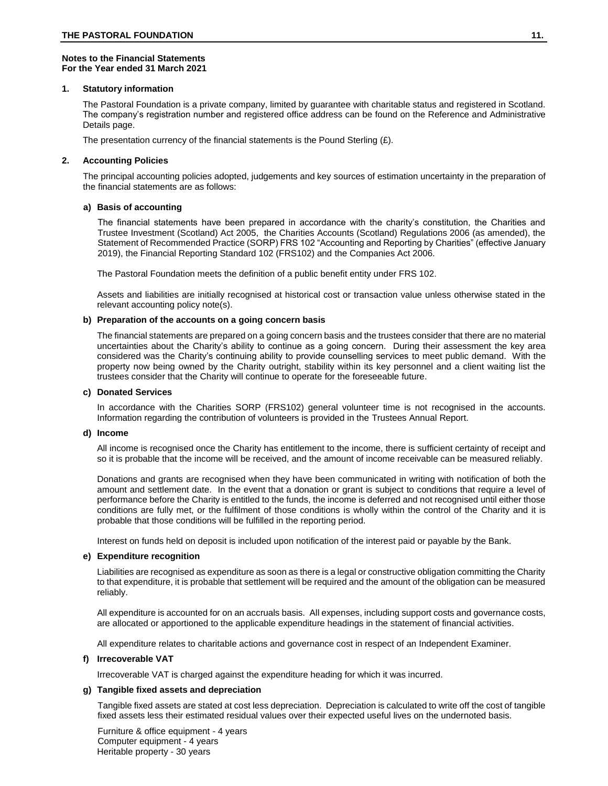## **Notes to the Financial Statements For the Year ended 31 March 2021**

## **1. Statutory information**

The Pastoral Foundation is a private company, limited by guarantee with charitable status and registered in Scotland. The company's registration number and registered office address can be found on the Reference and Administrative Details page.

The presentation currency of the financial statements is the Pound Sterling  $(E)$ .

## **2. Accounting Policies**

The principal accounting policies adopted, judgements and key sources of estimation uncertainty in the preparation of the financial statements are as follows:

## **a) Basis of accounting**

The financial statements have been prepared in accordance with the charity's constitution, the Charities and Trustee Investment (Scotland) Act 2005, the Charities Accounts (Scotland) Regulations 2006 (as amended), the Statement of Recommended Practice (SORP) FRS 102 "Accounting and Reporting by Charities" (effective January 2019), the Financial Reporting Standard 102 (FRS102) and the Companies Act 2006.

The Pastoral Foundation meets the definition of a public benefit entity under FRS 102.

Assets and liabilities are initially recognised at historical cost or transaction value unless otherwise stated in the relevant accounting policy note(s).

## **b) Preparation of the accounts on a going concern basis**

The financial statements are prepared on a going concern basis and the trustees consider that there are no material uncertainties about the Charity's ability to continue as a going concern. During their assessment the key area considered was the Charity's continuing ability to provide counselling services to meet public demand. With the property now being owned by the Charity outright, stability within its key personnel and a client waiting list the trustees consider that the Charity will continue to operate for the foreseeable future.

#### **c) Donated Services**

In accordance with the Charities SORP (FRS102) general volunteer time is not recognised in the accounts. Information regarding the contribution of volunteers is provided in the Trustees Annual Report.

#### **d) Income**

All income is recognised once the Charity has entitlement to the income, there is sufficient certainty of receipt and so it is probable that the income will be received, and the amount of income receivable can be measured reliably.

Donations and grants are recognised when they have been communicated in writing with notification of both the amount and settlement date. In the event that a donation or grant is subject to conditions that require a level of performance before the Charity is entitled to the funds, the income is deferred and not recognised until either those conditions are fully met, or the fulfilment of those conditions is wholly within the control of the Charity and it is probable that those conditions will be fulfilled in the reporting period.

Interest on funds held on deposit is included upon notification of the interest paid or payable by the Bank.

#### **e) Expenditure recognition**

Liabilities are recognised as expenditure as soon as there is a legal or constructive obligation committing the Charity to that expenditure, it is probable that settlement will be required and the amount of the obligation can be measured reliably.

All expenditure is accounted for on an accruals basis. All expenses, including support costs and governance costs, are allocated or apportioned to the applicable expenditure headings in the statement of financial activities.

All expenditure relates to charitable actions and governance cost in respect of an Independent Examiner.

# **f) Irrecoverable VAT**

Irrecoverable VAT is charged against the expenditure heading for which it was incurred.

# **g) Tangible fixed assets and depreciation**

Tangible fixed assets are stated at cost less depreciation. Depreciation is calculated to write off the cost of tangible fixed assets less their estimated residual values over their expected useful lives on the undernoted basis.

Furniture & office equipment - 4 years Computer equipment - 4 years Heritable property - 30 years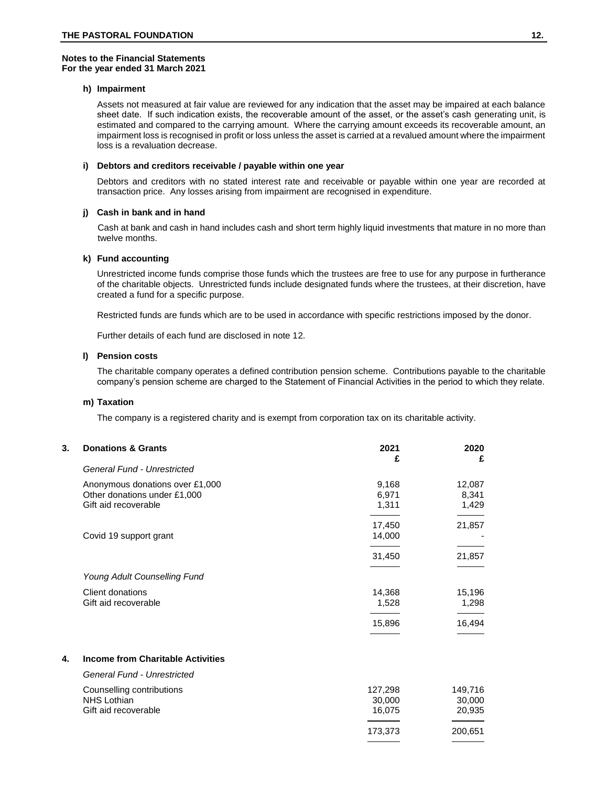#### **Notes to the Financial Statements For the year ended 31 March 2021**

#### **h) Impairment**

Assets not measured at fair value are reviewed for any indication that the asset may be impaired at each balance sheet date. If such indication exists, the recoverable amount of the asset, or the asset's cash generating unit, is estimated and compared to the carrying amount. Where the carrying amount exceeds its recoverable amount, an impairment loss is recognised in profit or loss unless the asset is carried at a revalued amount where the impairment loss is a revaluation decrease.

# **i) Debtors and creditors receivable / payable within one year**

Debtors and creditors with no stated interest rate and receivable or payable within one year are recorded at transaction price. Any losses arising from impairment are recognised in expenditure.

## **j) Cash in bank and in hand**

Cash at bank and cash in hand includes cash and short term highly liquid investments that mature in no more than twelve months.

#### **k) Fund accounting**

Unrestricted income funds comprise those funds which the trustees are free to use for any purpose in furtherance of the charitable objects. Unrestricted funds include designated funds where the trustees, at their discretion, have created a fund for a specific purpose.

Restricted funds are funds which are to be used in accordance with specific restrictions imposed by the donor.

Further details of each fund are disclosed in note 12.

#### **l) Pension costs**

The charitable company operates a defined contribution pension scheme. Contributions payable to the charitable company's pension scheme are charged to the Statement of Financial Activities in the period to which they relate.

#### **m) Taxation**

The company is a registered charity and is exempt from corporation tax on its charitable activity.

| 3. | <b>Donations &amp; Grants</b>                                                           | 2021<br>£                   | 2020<br>£                   |
|----|-----------------------------------------------------------------------------------------|-----------------------------|-----------------------------|
|    | General Fund - Unrestricted                                                             |                             |                             |
|    | Anonymous donations over £1,000<br>Other donations under £1,000<br>Gift aid recoverable | 9,168<br>6,971<br>1,311     | 12,087<br>8,341<br>1,429    |
|    | Covid 19 support grant                                                                  | 17,450<br>14,000            | 21,857                      |
|    |                                                                                         | 31,450                      | 21,857                      |
|    | <b>Young Adult Counselling Fund</b>                                                     |                             |                             |
|    | Client donations<br>Gift aid recoverable                                                | 14,368<br>1,528             | 15,196<br>1,298             |
|    |                                                                                         | 15,896                      | 16,494                      |
| 4. | <b>Income from Charitable Activities</b>                                                |                             |                             |
|    | <b>General Fund - Unrestricted</b>                                                      |                             |                             |
|    | Counselling contributions<br><b>NHS Lothian</b><br>Gift aid recoverable                 | 127,298<br>30,000<br>16,075 | 149,716<br>30,000<br>20,935 |

200,651

173,373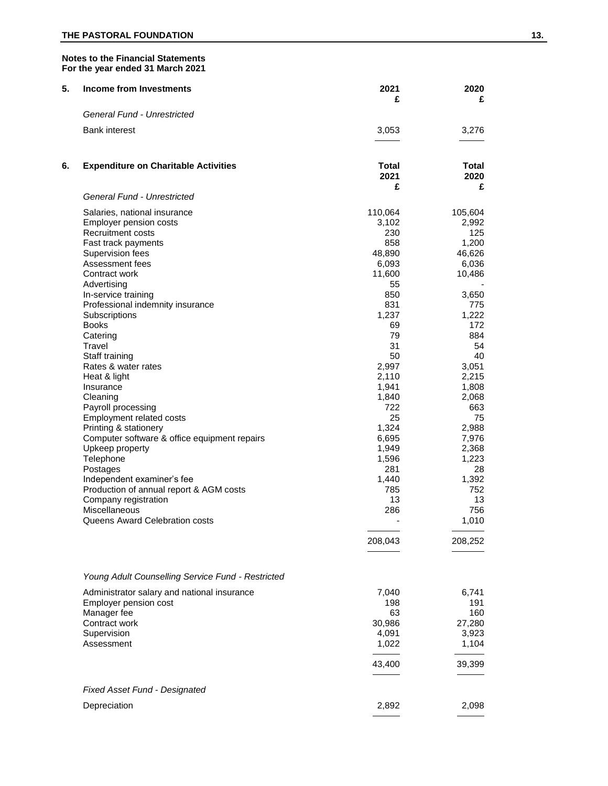# **THE PASTORAL FOUNDATION** 13.

# **Notes to the Financial Statements For the year ended 31 March 2021**

| 5. | <b>Income from Investments</b>                                                                                                                                                                                                                                                                                                                                                                                                                                                                                                                                                                                                                                                                           | 2021<br>£                                                                                                                                                                                                                                            | 2020<br>£                                                                                                                                                                                                                                                    |
|----|----------------------------------------------------------------------------------------------------------------------------------------------------------------------------------------------------------------------------------------------------------------------------------------------------------------------------------------------------------------------------------------------------------------------------------------------------------------------------------------------------------------------------------------------------------------------------------------------------------------------------------------------------------------------------------------------------------|------------------------------------------------------------------------------------------------------------------------------------------------------------------------------------------------------------------------------------------------------|--------------------------------------------------------------------------------------------------------------------------------------------------------------------------------------------------------------------------------------------------------------|
|    | General Fund - Unrestricted                                                                                                                                                                                                                                                                                                                                                                                                                                                                                                                                                                                                                                                                              |                                                                                                                                                                                                                                                      |                                                                                                                                                                                                                                                              |
|    | <b>Bank interest</b>                                                                                                                                                                                                                                                                                                                                                                                                                                                                                                                                                                                                                                                                                     | 3,053                                                                                                                                                                                                                                                | 3,276                                                                                                                                                                                                                                                        |
| 6. | <b>Expenditure on Charitable Activities</b>                                                                                                                                                                                                                                                                                                                                                                                                                                                                                                                                                                                                                                                              | Total<br>2021                                                                                                                                                                                                                                        | Total<br>2020                                                                                                                                                                                                                                                |
|    | General Fund - Unrestricted                                                                                                                                                                                                                                                                                                                                                                                                                                                                                                                                                                                                                                                                              | £                                                                                                                                                                                                                                                    | £                                                                                                                                                                                                                                                            |
|    | Salaries, national insurance<br>Employer pension costs<br>Recruitment costs<br>Fast track payments<br>Supervision fees<br>Assessment fees<br>Contract work<br>Advertising<br>In-service training<br>Professional indemnity insurance<br>Subscriptions<br><b>Books</b><br>Catering<br>Travel<br>Staff training<br>Rates & water rates<br>Heat & light<br>Insurance<br>Cleaning<br>Payroll processing<br>Employment related costs<br>Printing & stationery<br>Computer software & office equipment repairs<br>Upkeep property<br>Telephone<br>Postages<br>Independent examiner's fee<br>Production of annual report & AGM costs<br>Company registration<br>Miscellaneous<br>Queens Award Celebration costs | 110,064<br>3,102<br>230<br>858<br>48,890<br>6,093<br>11,600<br>55<br>850<br>831<br>1,237<br>69<br>79<br>31<br>50<br>2,997<br>2,110<br>1,941<br>1,840<br>722<br>25<br>1,324<br>6,695<br>1,949<br>1,596<br>281<br>1,440<br>785<br>13<br>286<br>208,043 | 105,604<br>2,992<br>125<br>1,200<br>46,626<br>6,036<br>10,486<br>3,650<br>775<br>1,222<br>172<br>884<br>54<br>40<br>3,051<br>2,215<br>1,808<br>2,068<br>663<br>75<br>2,988<br>7,976<br>2,368<br>1,223<br>28<br>1,392<br>752<br>13<br>756<br>1,010<br>208,252 |
|    |                                                                                                                                                                                                                                                                                                                                                                                                                                                                                                                                                                                                                                                                                                          |                                                                                                                                                                                                                                                      |                                                                                                                                                                                                                                                              |
|    | Young Adult Counselling Service Fund - Restricted<br>Administrator salary and national insurance<br>Employer pension cost<br>Manager fee<br>Contract work<br>Supervision<br>Assessment                                                                                                                                                                                                                                                                                                                                                                                                                                                                                                                   | 7,040<br>198<br>63<br>30,986<br>4,091<br>1,022<br>43,400                                                                                                                                                                                             | 6,741<br>191<br>160<br>27,280<br>3,923<br>1,104<br>39,399                                                                                                                                                                                                    |
|    | <b>Fixed Asset Fund - Designated</b>                                                                                                                                                                                                                                                                                                                                                                                                                                                                                                                                                                                                                                                                     |                                                                                                                                                                                                                                                      |                                                                                                                                                                                                                                                              |
|    | Depreciation                                                                                                                                                                                                                                                                                                                                                                                                                                                                                                                                                                                                                                                                                             | 2,892                                                                                                                                                                                                                                                | 2,098                                                                                                                                                                                                                                                        |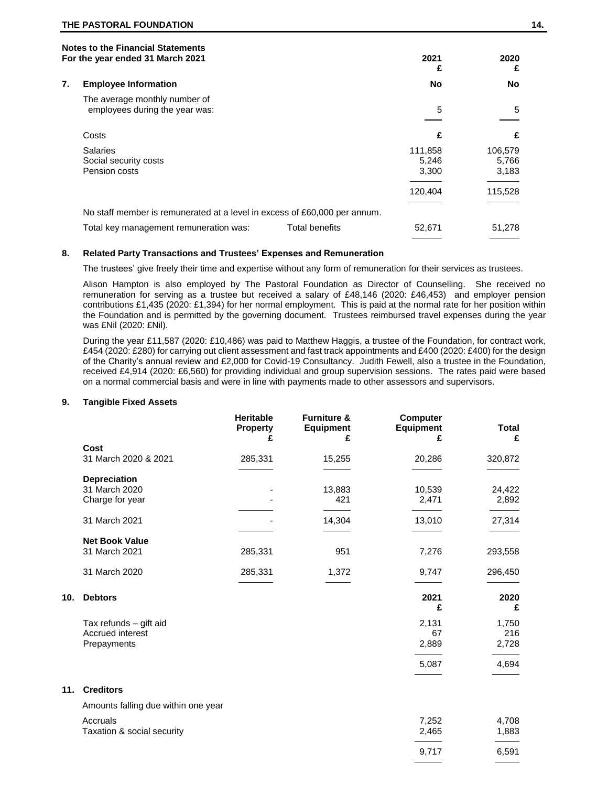|    | <b>Notes to the Financial Statements</b><br>For the year ended 31 March 2021 | 2021           | 2020    |         |
|----|------------------------------------------------------------------------------|----------------|---------|---------|
|    |                                                                              |                | £       | £       |
| 7. | <b>Employee Information</b>                                                  |                | No      | No      |
|    | The average monthly number of                                                |                |         |         |
|    | employees during the year was:                                               |                | 5       | 5       |
|    |                                                                              |                |         |         |
|    | Costs                                                                        |                | £       | £       |
|    | <b>Salaries</b>                                                              |                | 111,858 | 106,579 |
|    | Social security costs                                                        |                | 5,246   | 5,766   |
|    | Pension costs                                                                |                | 3,300   | 3,183   |
|    |                                                                              |                | 120,404 | 115,528 |
|    | No staff member is remunerated at a level in excess of £60,000 per annum.    |                |         |         |
|    | Total key management remuneration was:                                       | Total benefits | 52,671  | 51.278  |
|    |                                                                              |                |         |         |

## **8. Related Party Transactions and Trustees' Expenses and Remuneration**

The trustees' give freely their time and expertise without any form of remuneration for their services as trustees.

Alison Hampton is also employed by The Pastoral Foundation as Director of Counselling. She received no remuneration for serving as a trustee but received a salary of £48,146 (2020: £46,453) and employer pension contributions £1,435 (2020: £1,394) for her normal employment. This is paid at the normal rate for her position within the Foundation and is permitted by the governing document. Trustees reimbursed travel expenses during the year was £Nil (2020: £Nil).

During the year £11,587 (2020: £10,486) was paid to Matthew Haggis, a trustee of the Foundation, for contract work, £454 (2020: £280) for carrying out client assessment and fast track appointments and £400 (2020: £400) for the design of the Charity's annual review and £2,000 for Covid-19 Consultancy. Judith Fewell, also a trustee in the Foundation, received £4,914 (2020: £6,560) for providing individual and group supervision sessions. The rates paid were based on a normal commercial basis and were in line with payments made to other assessors and supervisors.

#### **9. Tangible Fixed Assets**

|     |                                                           | <b>Heritable</b><br><b>Property</b><br>£ | <b>Furniture &amp;</b><br><b>Equipment</b><br>£ | Computer<br><b>Equipment</b><br>£ | <b>Total</b><br>£     |
|-----|-----------------------------------------------------------|------------------------------------------|-------------------------------------------------|-----------------------------------|-----------------------|
|     | Cost<br>31 March 2020 & 2021                              | 285,331                                  | 15,255                                          | 20,286                            | 320,872               |
|     | <b>Depreciation</b><br>31 March 2020<br>Charge for year   |                                          | 13,883<br>421                                   | 10,539<br>2,471                   | 24,422<br>2,892       |
|     | 31 March 2021                                             |                                          | 14,304                                          | 13,010                            | 27,314                |
|     | <b>Net Book Value</b><br>31 March 2021                    | 285,331                                  | 951                                             | 7,276                             | 293,558               |
|     | 31 March 2020                                             | 285,331                                  | 1,372                                           | 9,747                             | 296,450               |
| 10. | <b>Debtors</b>                                            |                                          |                                                 | 2021<br>£                         | 2020<br>£             |
|     | Tax refunds - gift aid<br>Accrued interest<br>Prepayments |                                          |                                                 | 2,131<br>67<br>2,889              | 1,750<br>216<br>2,728 |
|     |                                                           |                                          |                                                 | 5,087                             | 4,694                 |
| 11. | <b>Creditors</b>                                          |                                          |                                                 |                                   |                       |
|     | Amounts falling due within one year                       |                                          |                                                 |                                   |                       |
|     | Accruals<br>Taxation & social security                    |                                          |                                                 | 7,252<br>2,465                    | 4,708<br>1,883        |
|     |                                                           |                                          |                                                 | 9,717                             | 6,591                 |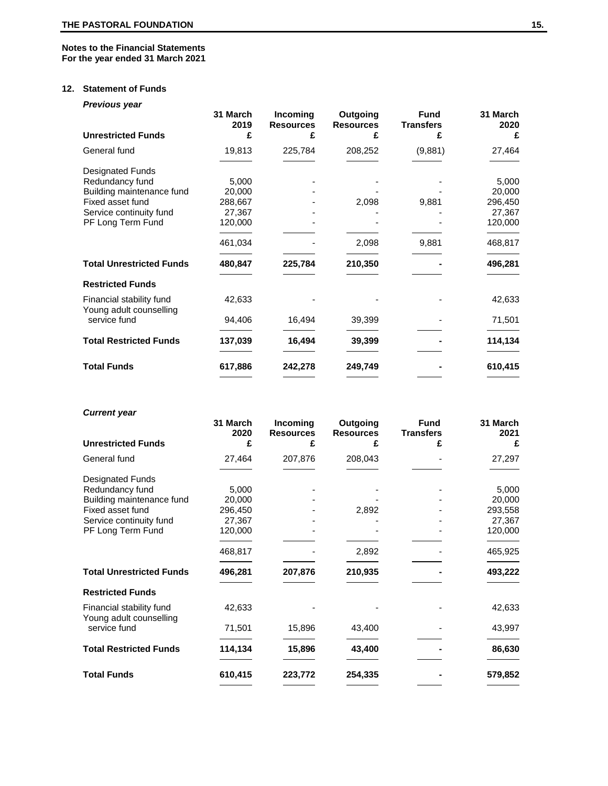# **Notes to the Financial Statements For the year ended 31 March 2021**

# **12. Statement of Funds**

*Previous year*

| <b>Unrestricted Funds</b>                           | 31 March<br>2019<br>£ | Incoming<br><b>Resources</b><br>£ | Outgoing<br><b>Resources</b><br>£ | <b>Fund</b><br><b>Transfers</b><br>£ | 31 March<br>2020<br>£ |
|-----------------------------------------------------|-----------------------|-----------------------------------|-----------------------------------|--------------------------------------|-----------------------|
| General fund                                        | 19,813                | 225,784                           | 208,252                           | (9,881)                              | 27,464                |
| Designated Funds                                    |                       |                                   |                                   |                                      |                       |
| Redundancy fund                                     | 5,000                 |                                   |                                   |                                      | 5,000                 |
| Building maintenance fund                           | 20,000                |                                   |                                   |                                      | 20,000                |
| Fixed asset fund                                    | 288,667               |                                   | 2,098                             | 9,881                                | 296,450               |
| Service continuity fund                             | 27,367                |                                   |                                   |                                      | 27,367                |
| PF Long Term Fund                                   | 120,000               |                                   |                                   |                                      | 120,000               |
|                                                     | 461,034               |                                   | 2,098                             | 9,881                                | 468,817               |
| <b>Total Unrestricted Funds</b>                     | 480,847               | 225,784                           | 210,350                           |                                      | 496,281               |
| <b>Restricted Funds</b>                             |                       |                                   |                                   |                                      |                       |
| Financial stability fund<br>Young adult counselling | 42,633                |                                   |                                   |                                      | 42,633                |
| service fund                                        | 94,406                | 16,494                            | 39,399                            |                                      | 71,501                |
| <b>Total Restricted Funds</b>                       | 137,039               | 16,494                            | 39,399                            |                                      | 114,134               |
| <b>Total Funds</b>                                  | 617,886               | 242,278                           | 249,749                           |                                      | 610,415               |
|                                                     |                       |                                   |                                   |                                      |                       |

# *Current year*

|                                                     | 31 March<br>2020 | Incoming<br><b>Resources</b> | Outgoing<br><b>Resources</b> | <b>Fund</b><br><b>Transfers</b> | 31 March<br>2021 |
|-----------------------------------------------------|------------------|------------------------------|------------------------------|---------------------------------|------------------|
| <b>Unrestricted Funds</b>                           | £                | £                            |                              |                                 | £                |
| General fund                                        | 27,464           | 207,876                      | 208,043                      |                                 | 27,297           |
| <b>Designated Funds</b>                             |                  |                              |                              |                                 |                  |
| Redundancy fund                                     | 5,000            |                              |                              |                                 | 5,000            |
| Building maintenance fund                           | 20,000           |                              |                              |                                 | 20,000           |
| Fixed asset fund                                    | 296,450          |                              | 2,892                        |                                 | 293,558          |
| Service continuity fund                             | 27,367           |                              |                              |                                 | 27,367           |
| PF Long Term Fund                                   | 120,000          |                              |                              |                                 | 120,000          |
|                                                     | 468,817          |                              | 2,892                        |                                 | 465,925          |
| <b>Total Unrestricted Funds</b>                     | 496,281          | 207,876                      | 210,935                      |                                 | 493,222          |
| <b>Restricted Funds</b>                             |                  |                              |                              |                                 |                  |
| Financial stability fund<br>Young adult counselling | 42,633           |                              |                              |                                 | 42,633           |
| service fund                                        | 71,501           | 15,896                       | 43,400                       |                                 | 43,997           |
| <b>Total Restricted Funds</b>                       | 114,134          | 15,896                       | 43,400                       |                                 | 86,630           |
| <b>Total Funds</b>                                  | 610,415          | 223,772                      | 254,335                      |                                 | 579,852          |